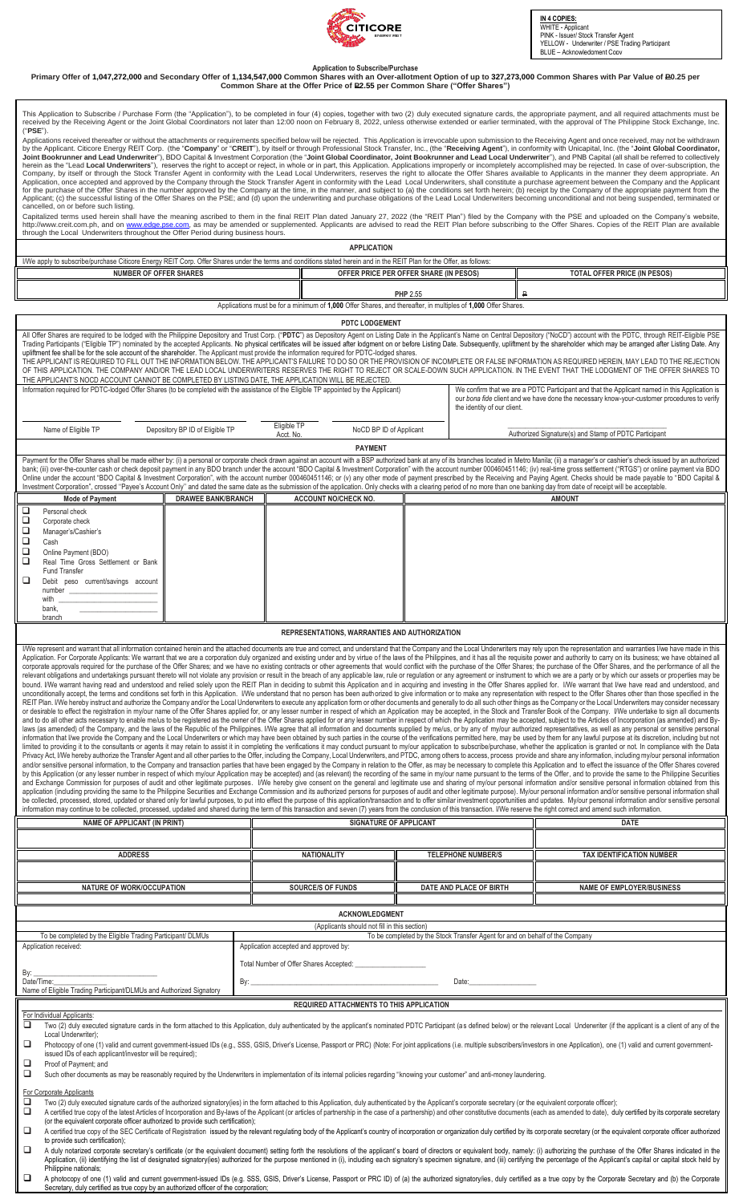

**IN 4 COPIES:** WHITE - Applicant<br>PINK - Issuer/ Stock Transfer Agent<br>YELLOW - Underwriter / PSE Trading Participant<br>BLUE – Acknowledgment Copy

## **Application to Subscribe/Purchase**

**Primary Offer of 1,047,272,000 and Secondary Offer of 1,134,547,000 Common Shares with an Over-allotment Option of up to 327,273,000 Common Shares with Par Value of P0.25 per Common Share at the Offer Price of P2.55 per Common Share ("Offer Shares")**

This Application to Subscribe / Purchase Form (the "Application"), to be completed in four (4) copies, together with two (2) duly executed signature cards, the appropriate payment, and all required attachments must be received by the Receiving Agent or the Joint Global Coordinators not later than 12:00 noon on February 8, 2022, unless otherwise extended or earlier terminated, with the approval of The Philippine Stock Exchange, Inc.<br>("PS ("**PSE**").

Applications received thereafter or without the attachments or requirements specified below will be rejected. This Application is irrevocable upon submission to the Receiving Agent and once received, may not be withdrawn<br>b Applicant; (c) the successful listing of the Offer Shares on the PSE; and (d) upon the underwriting and purchase obligations of the Lead Local Underwriters becoming unconditional and not being suspended, terminated or cancelled, on or before such listing.

Capitalized terms used herein shall have the meaning ascribed to them in the final REIT Plan dated January 27, 2022 (the "REIT Plan") filed by the Company with the PSE and uploaded on the Company's website,<br>htro://www.crei

| <b>APPLICATION</b>                                                  |                                                                                                                                                                                                                                                                                                                                                                                                                                                                                                                                                                                                                                                                                                                                                                                                                                                                                                                                                                                                                                                                                                                                                                                                                                                                                                                                                                                                                                                                                              |                           |                         |                                                                                                               |                                                       |  |                                                                                                                                                                                                                                                                                                                                                                                                                                                                                                                                                                                                                                                                                                                                                                                                                                                                                                                                      |  |
|---------------------------------------------------------------------|----------------------------------------------------------------------------------------------------------------------------------------------------------------------------------------------------------------------------------------------------------------------------------------------------------------------------------------------------------------------------------------------------------------------------------------------------------------------------------------------------------------------------------------------------------------------------------------------------------------------------------------------------------------------------------------------------------------------------------------------------------------------------------------------------------------------------------------------------------------------------------------------------------------------------------------------------------------------------------------------------------------------------------------------------------------------------------------------------------------------------------------------------------------------------------------------------------------------------------------------------------------------------------------------------------------------------------------------------------------------------------------------------------------------------------------------------------------------------------------------|---------------------------|-------------------------|---------------------------------------------------------------------------------------------------------------|-------------------------------------------------------|--|--------------------------------------------------------------------------------------------------------------------------------------------------------------------------------------------------------------------------------------------------------------------------------------------------------------------------------------------------------------------------------------------------------------------------------------------------------------------------------------------------------------------------------------------------------------------------------------------------------------------------------------------------------------------------------------------------------------------------------------------------------------------------------------------------------------------------------------------------------------------------------------------------------------------------------------|--|
|                                                                     | I/We apply to subscribe/purchase Citicore Energy REIT Corp. Offer Shares under the terms and conditions stated herein and in the REIT Plan for the Offer, as follows:                                                                                                                                                                                                                                                                                                                                                                                                                                                                                                                                                                                                                                                                                                                                                                                                                                                                                                                                                                                                                                                                                                                                                                                                                                                                                                                        |                           |                         |                                                                                                               |                                                       |  |                                                                                                                                                                                                                                                                                                                                                                                                                                                                                                                                                                                                                                                                                                                                                                                                                                                                                                                                      |  |
| <b>NUMBER OF OFFER SHARES</b>                                       |                                                                                                                                                                                                                                                                                                                                                                                                                                                                                                                                                                                                                                                                                                                                                                                                                                                                                                                                                                                                                                                                                                                                                                                                                                                                                                                                                                                                                                                                                              |                           |                         | OFFER PRICE PER OFFER SHARE (IN PESOS)                                                                        |                                                       |  | <b>TOTAL OFFER PRICE (IN PESOS)</b>                                                                                                                                                                                                                                                                                                                                                                                                                                                                                                                                                                                                                                                                                                                                                                                                                                                                                                  |  |
|                                                                     |                                                                                                                                                                                                                                                                                                                                                                                                                                                                                                                                                                                                                                                                                                                                                                                                                                                                                                                                                                                                                                                                                                                                                                                                                                                                                                                                                                                                                                                                                              |                           |                         |                                                                                                               |                                                       |  |                                                                                                                                                                                                                                                                                                                                                                                                                                                                                                                                                                                                                                                                                                                                                                                                                                                                                                                                      |  |
|                                                                     |                                                                                                                                                                                                                                                                                                                                                                                                                                                                                                                                                                                                                                                                                                                                                                                                                                                                                                                                                                                                                                                                                                                                                                                                                                                                                                                                                                                                                                                                                              |                           |                         | PHP 2.55                                                                                                      |                                                       |  | ₽                                                                                                                                                                                                                                                                                                                                                                                                                                                                                                                                                                                                                                                                                                                                                                                                                                                                                                                                    |  |
|                                                                     |                                                                                                                                                                                                                                                                                                                                                                                                                                                                                                                                                                                                                                                                                                                                                                                                                                                                                                                                                                                                                                                                                                                                                                                                                                                                                                                                                                                                                                                                                              |                           |                         | Applications must be for a minimum of 1,000 Offer Shares, and thereafter, in multiples of 1,000 Offer Shares. |                                                       |  |                                                                                                                                                                                                                                                                                                                                                                                                                                                                                                                                                                                                                                                                                                                                                                                                                                                                                                                                      |  |
|                                                                     |                                                                                                                                                                                                                                                                                                                                                                                                                                                                                                                                                                                                                                                                                                                                                                                                                                                                                                                                                                                                                                                                                                                                                                                                                                                                                                                                                                                                                                                                                              |                           |                         | <b>PDTC LODGEMENT</b>                                                                                         |                                                       |  |                                                                                                                                                                                                                                                                                                                                                                                                                                                                                                                                                                                                                                                                                                                                                                                                                                                                                                                                      |  |
|                                                                     | All Offer Shares are required to be lodged with the Philippine Depository and Trust Corp. ("PDTC") as Depository Agent on Listing Date in the Applicant's Name on Central Depository ("NoCD") account with the PDTC, through R<br>Trading Participants ("Eligible TP") nominated by the accepted Applicants. No physical certificates will be issued after lodgment on or before Listing Date. Subsequently, upliftment by the shareholder which may be arranged<br>upliftment fee shall be for the sole account of the shareholder. The Applicant must provide the information required for PDTC-lodged shares.<br>THE APPLICANT IS REQUIRED TO FILL OUT THE INFORMATION BELOW. THE APPLICANT'S FAILURE TO DO SO OR THE PROVISION OF INCOMPLETE OR FALSE INFORMATION AS REQUIRED HEREIN. MAY LEAD TO THE REJECTION<br>OF THIS APPLICATION. THE COMPANY AND/OR THE LEAD LOCAL UNDERWRITERS RESERVES THE RIGHT TO REJECT OR SCALE-DOWN SUCH APPLICATION. IN THE EVENT THAT THE LODGMENT OF THE OFFER SHARES TO<br>THE APPLICANT'S NOCD ACCOUNT CANNOT BE COMPLETED BY LISTING DATE, THE APPLICATION WILL BE REJECTED.<br>Information required for PDTC-lodged Offer Shares (to be completed with the assistance of the Eligible TP appointed by the Applicant)<br>We confirm that we are a PDTC Participant and that the Applicant named in this Application is<br>our bona fide client and we have done the necessary know-your-customer procedures to verify<br>the identity of our client. |                           |                         |                                                                                                               |                                                       |  |                                                                                                                                                                                                                                                                                                                                                                                                                                                                                                                                                                                                                                                                                                                                                                                                                                                                                                                                      |  |
| Name of Eligible TP<br>Depository BP ID of Eligible TP<br>Acct. No. |                                                                                                                                                                                                                                                                                                                                                                                                                                                                                                                                                                                                                                                                                                                                                                                                                                                                                                                                                                                                                                                                                                                                                                                                                                                                                                                                                                                                                                                                                              | Eligible TP               | NoCD BP ID of Applicant |                                                                                                               | Authorized Signature(s) and Stamp of PDTC Participant |  |                                                                                                                                                                                                                                                                                                                                                                                                                                                                                                                                                                                                                                                                                                                                                                                                                                                                                                                                      |  |
|                                                                     |                                                                                                                                                                                                                                                                                                                                                                                                                                                                                                                                                                                                                                                                                                                                                                                                                                                                                                                                                                                                                                                                                                                                                                                                                                                                                                                                                                                                                                                                                              |                           |                         | <b>PAYMENT</b>                                                                                                |                                                       |  |                                                                                                                                                                                                                                                                                                                                                                                                                                                                                                                                                                                                                                                                                                                                                                                                                                                                                                                                      |  |
|                                                                     |                                                                                                                                                                                                                                                                                                                                                                                                                                                                                                                                                                                                                                                                                                                                                                                                                                                                                                                                                                                                                                                                                                                                                                                                                                                                                                                                                                                                                                                                                              |                           |                         |                                                                                                               |                                                       |  | Payment for the Offer Shares shall be made either by: (i) a personal or corporate check drawn against an account with a BSP authorized bank at any of its branches located in Metro Manila; (ii) a manager's or cashier's chec<br>bank: (iii) over-the-counter cash or check deposit payment in any BDO branch under the account "BDO Capital & Investment Corporation" with the account number 000460451146; (iv) real-time gross settlement ("RTGS") or online<br>Online under the account "BDO Capital & Investment Corporation", with the account number 000460451146; or (v) any other mode of payment prescribed by the Receiving and Paying Agent. Checks should be made payable to "BDO Ca<br>Investment Corporation", crossed "Payee's Account Only" and dated the same date as the submission of the application. Only checks with a clearing period of no more than one banking day from date of receipt will be acceptab |  |
|                                                                     | <b>Mode of Payment</b>                                                                                                                                                                                                                                                                                                                                                                                                                                                                                                                                                                                                                                                                                                                                                                                                                                                                                                                                                                                                                                                                                                                                                                                                                                                                                                                                                                                                                                                                       | <b>DRAWEE BANK/BRANCH</b> |                         | <b>ACCOUNT NO/CHECK NO.</b>                                                                                   |                                                       |  | <b>AMOUNT</b>                                                                                                                                                                                                                                                                                                                                                                                                                                                                                                                                                                                                                                                                                                                                                                                                                                                                                                                        |  |
| □<br>❏<br>❏<br>□<br>❏<br>❏<br>❏                                     | Personal check<br>Corporate check<br>Manager's/Cashier's<br>Cash<br>Online Payment (BDO)<br>Real Time Gross Settlement or Bank<br>Fund Transfer<br>Debit<br>peso current/savings account<br>number<br>with<br>bank.<br>branch                                                                                                                                                                                                                                                                                                                                                                                                                                                                                                                                                                                                                                                                                                                                                                                                                                                                                                                                                                                                                                                                                                                                                                                                                                                                |                           |                         |                                                                                                               |                                                       |  |                                                                                                                                                                                                                                                                                                                                                                                                                                                                                                                                                                                                                                                                                                                                                                                                                                                                                                                                      |  |
|                                                                     |                                                                                                                                                                                                                                                                                                                                                                                                                                                                                                                                                                                                                                                                                                                                                                                                                                                                                                                                                                                                                                                                                                                                                                                                                                                                                                                                                                                                                                                                                              |                           |                         | REPRESENTATIONS, WARRANTIES AND AUTHORIZATION                                                                 |                                                       |  |                                                                                                                                                                                                                                                                                                                                                                                                                                                                                                                                                                                                                                                                                                                                                                                                                                                                                                                                      |  |
|                                                                     |                                                                                                                                                                                                                                                                                                                                                                                                                                                                                                                                                                                                                                                                                                                                                                                                                                                                                                                                                                                                                                                                                                                                                                                                                                                                                                                                                                                                                                                                                              |                           |                         |                                                                                                               |                                                       |  | I/We represent and warrant that all information contained herein and the attached documents are true and correct, and understand that the Company and the Local Underwriters may rely upon the representation and warranties I                                                                                                                                                                                                                                                                                                                                                                                                                                                                                                                                                                                                                                                                                                       |  |

I/We represent and warrant that all information contained herein and the attached documents are true and correct, and understand that the Company and the Local Underwriters may rely upon the representation and warranties I corporate approvals required for the purchase of the Offer Shares; and we have no existing contracts or other agreements that would conflict with the purchase of the Offer Shares; the purchase of the Offer Shares, and the relevant obligations and undertakings pursuant thereto will not violate any provision or result in the breach of any applicable law, rule or regulation or any agreement or instrument to which we are a party or by which our or desirable to effect the registration in my/our name of the Offer Shares applied for, or any lesser number in respect of which an Application may be accepted, in the Stock and Transfer Book of the Company. *IW*e undertak be collected, processed, stored, updated or shared only for lawful purposes, to put into effect the purpose of this application/transaction and to offer similar investment opportunities and updates. My/our personal informa

| information may continue to be collected, processed, updated and shared during the term of this transaction and seven (7) years from the conclusion of this transaction. I/We reserve the right correct and amend such informa                                                                                                                                                                                                                                                                                                                                                                                                                                                                                                                                                                                                                         |                                                                              |                               |                                  |  |  |  |
|--------------------------------------------------------------------------------------------------------------------------------------------------------------------------------------------------------------------------------------------------------------------------------------------------------------------------------------------------------------------------------------------------------------------------------------------------------------------------------------------------------------------------------------------------------------------------------------------------------------------------------------------------------------------------------------------------------------------------------------------------------------------------------------------------------------------------------------------------------|------------------------------------------------------------------------------|-------------------------------|----------------------------------|--|--|--|
| <b>NAME OF APPLICANT (IN PRINT)</b>                                                                                                                                                                                                                                                                                                                                                                                                                                                                                                                                                                                                                                                                                                                                                                                                                    |                                                                              | <b>SIGNATURE OF APPLICANT</b> |                                  |  |  |  |
|                                                                                                                                                                                                                                                                                                                                                                                                                                                                                                                                                                                                                                                                                                                                                                                                                                                        |                                                                              |                               |                                  |  |  |  |
| <b>ADDRESS</b>                                                                                                                                                                                                                                                                                                                                                                                                                                                                                                                                                                                                                                                                                                                                                                                                                                         | <b>NATIONALITY</b>                                                           | <b>TELEPHONE NUMBER/S</b>     | <b>TAX IDENTIFICATION NUMBER</b> |  |  |  |
|                                                                                                                                                                                                                                                                                                                                                                                                                                                                                                                                                                                                                                                                                                                                                                                                                                                        |                                                                              |                               |                                  |  |  |  |
| <b>NATURE OF WORK/OCCUPATION</b>                                                                                                                                                                                                                                                                                                                                                                                                                                                                                                                                                                                                                                                                                                                                                                                                                       | <b>SOURCE/S OF FUNDS</b>                                                     | DATE AND PLACE OF BIRTH       | <b>NAME OF EMPLOYER/BUSINESS</b> |  |  |  |
|                                                                                                                                                                                                                                                                                                                                                                                                                                                                                                                                                                                                                                                                                                                                                                                                                                                        |                                                                              |                               |                                  |  |  |  |
| <b>ACKNOWLEDGMENT</b>                                                                                                                                                                                                                                                                                                                                                                                                                                                                                                                                                                                                                                                                                                                                                                                                                                  |                                                                              |                               |                                  |  |  |  |
|                                                                                                                                                                                                                                                                                                                                                                                                                                                                                                                                                                                                                                                                                                                                                                                                                                                        | (Applicants should not fill in this section)                                 |                               |                                  |  |  |  |
| To be completed by the Eligible Trading Participant/ DLMUs                                                                                                                                                                                                                                                                                                                                                                                                                                                                                                                                                                                                                                                                                                                                                                                             | To be completed by the Stock Transfer Agent for and on behalf of the Company |                               |                                  |  |  |  |
| Application received:                                                                                                                                                                                                                                                                                                                                                                                                                                                                                                                                                                                                                                                                                                                                                                                                                                  | Application accepted and approved by:                                        |                               |                                  |  |  |  |
| By:<br>Date/Time:<br>Name of Eligible Trading Participant/DLMUs and Authorized Signatory                                                                                                                                                                                                                                                                                                                                                                                                                                                                                                                                                                                                                                                                                                                                                               | Total Number of Offer Shares Accepted:<br>Date:<br>By:                       |                               |                                  |  |  |  |
|                                                                                                                                                                                                                                                                                                                                                                                                                                                                                                                                                                                                                                                                                                                                                                                                                                                        |                                                                              |                               |                                  |  |  |  |
| <b>REQUIRED ATTACHMENTS TO THIS APPLICATION</b>                                                                                                                                                                                                                                                                                                                                                                                                                                                                                                                                                                                                                                                                                                                                                                                                        |                                                                              |                               |                                  |  |  |  |
| For Individual Applicants:<br>❏<br>Two (2) duly executed signature cards in the form attached to this Application, duly authenticated by the applicant's nominated PDTC Participant (as defined below) or the relevant Local Underwriter (if the applicant is a c<br>Local Underwriter):                                                                                                                                                                                                                                                                                                                                                                                                                                                                                                                                                               |                                                                              |                               |                                  |  |  |  |
| ❏<br>Photocopy of one (1) valid and current government-issued IDs (e.g., SSS, GSIS, Driver's License, Passport or PRC) (Note: For joint applications (i.e. multiple subscribers/investors in one Application), one (1) valid and cu<br>issued IDs of each applicant/investor will be required);                                                                                                                                                                                                                                                                                                                                                                                                                                                                                                                                                        |                                                                              |                               |                                  |  |  |  |
| □<br>Proof of Payment; and<br>□<br>Such other documents as may be reasonably required by the Underwriters in implementation of its internal policies regarding "knowing your customer" and anti-money laundering.                                                                                                                                                                                                                                                                                                                                                                                                                                                                                                                                                                                                                                      |                                                                              |                               |                                  |  |  |  |
| For Corporate Applicants<br>❏<br>Two (2) duly executed signature cards of the authorized signatory(ies) in the form attached to this Application, duly authenticated by the Applicant's corporate secretary (or the equivalent corporate officer);<br>❏<br>A certified true copy of the latest Articles of Incorporation and By-laws of the Applicant (or articles of partnership in the case of a partnership) and other constitutive documents (each as amended to date), duly certifie<br>(or the equivalent corporate officer authorized to provide such certification);<br>□<br>A certified true copy of the SEC Certificate of Registration issued by the relevant regulating body of the Applicant's country of incorporation or organization duly certified by its corporate secretary (or the equivalent c<br>to provide such certification); |                                                                              |                               |                                  |  |  |  |

A duly notarized corporate secretary's certificate (or the equivalent document) setting forth the resolutions of the applicant's board of directors or equivalent body, namely: (i) authorizing the purchase of the Offer Shar Application, (ii) identifying the list of designated signatory(ies) authorized for the purpose mentioned in (i), including each signatory's specimen signature, and (iii) certifying the percentage of the Applicant's capital Philippine nationals;

A photocopy of one (1) valid and current government-issued IDs (e.g. SSS, GSIS, Driver's License, Passport or PRC ID) of (a) the authorized signatory/ies, duly certified as a true copy by the Corporate Secretary and (b) th cretary, duly certified as true copy by an authorized officer of the corporation;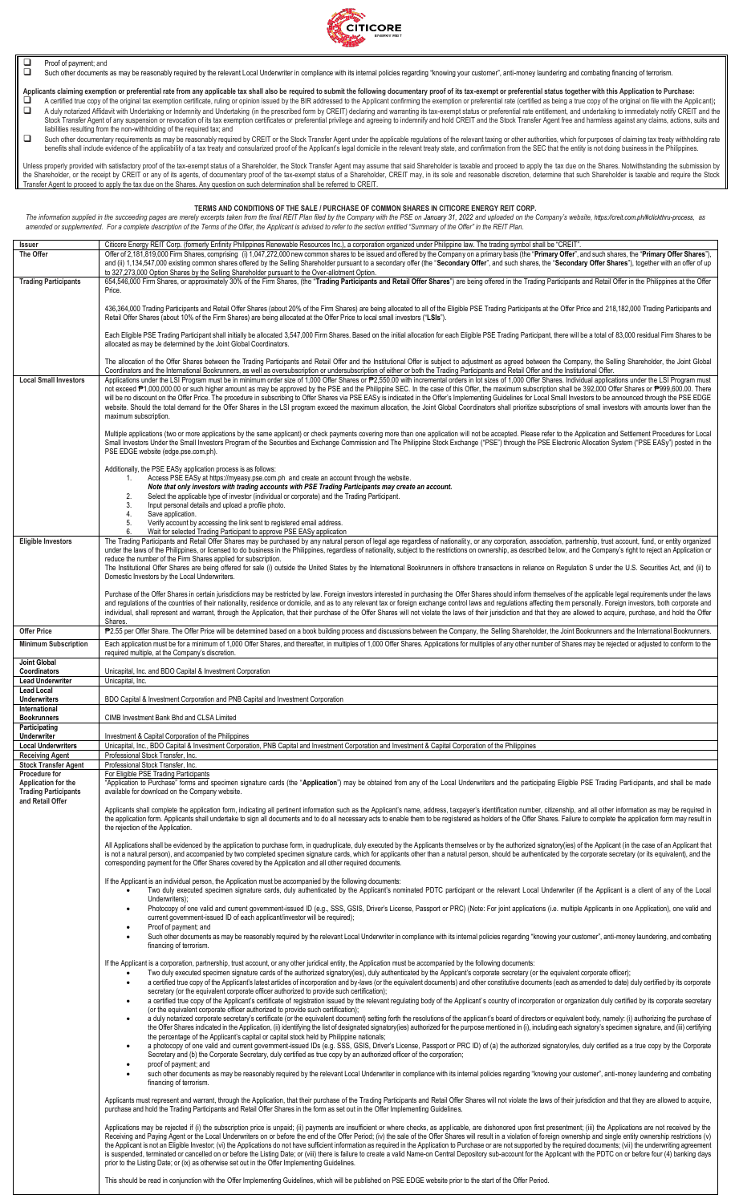

## ❑ Proof of payment; and

Such other documents as may be reasonably required by the relevant Local Underwriter in compliance with its internal policies regarding "knowing your customer", anti-money laundering and combating financing of terrorism.

- Applicants claiming exemption or preferential rate from any applicable tax shall also be required to submit the following documentary proof of its tax-exempt or preferential status together with this Application to Purchas
- A duly notarized Affidavit with Undertaking or Indemnity and Undertaking (in the prescribed form by CREIT) declaring and warranting its tax-exempt status or preferential rate entitlement, and undertaking to immediately not
- Such other documentary requirements as may be reasonably required by CREIT or the Stock Transfer Agent under the applicable regulations of the relevant taxing or other authorities, which for purposes of claiming tax treaty

Unless properly provided with satisfactory proof of the tax-exempt status of a Shareholder, the Stock Transfer Agent may assume that said Shareholder is taxable and proceed to apply the tax due on the Shares. Notwithstandi

TERMS AND CONDITIONS OF THE SALE I PURCHASE OF COMMON SHARES IN CITICORE ENERGY REIT CORP.<br>The information supplied in the succeeding pages are merely excerpts taken from the final REIT Plan filed by the Company with the P

| Issuer                                       | Citicore Energy REIT Corp. (formerly Enfinity Philippines Renewable Resources Inc.), a corporation organized under Philippine law. The trading symbol shall be "CREIT".                                                                                                                                                                                                                                                                                |
|----------------------------------------------|--------------------------------------------------------------------------------------------------------------------------------------------------------------------------------------------------------------------------------------------------------------------------------------------------------------------------------------------------------------------------------------------------------------------------------------------------------|
| The Offer                                    | Offer of 2,181,819,000 Firm Shares, comprising (i) 1,047,272,000 new common shares to be issued and offered by the Company on a primary basis (the "Primary Offer", and such shares, the "Primary Offer Shares"),                                                                                                                                                                                                                                      |
|                                              | and (ii) 1,134,547,000 existing common shares offered by the Selling Shareholder pursuant to a secondary offer (the "Secondary Offer", and such shares, the "Secondary Offer Shares"), together with an offer of up                                                                                                                                                                                                                                    |
|                                              | to 327,273,000 Option Shares by the Selling Shareholder pursuant to the Over-allotment Option.                                                                                                                                                                                                                                                                                                                                                         |
| <b>Trading Participants</b>                  | 654,546,000 Firm Shares, or approximately 30% of the Firm Shares, (the "Trading Participants and Retail Offer Shares") are being offered in the Trading Participants and Retail Offer in the Philippines at the Offer                                                                                                                                                                                                                                  |
|                                              | Price.                                                                                                                                                                                                                                                                                                                                                                                                                                                 |
|                                              |                                                                                                                                                                                                                                                                                                                                                                                                                                                        |
|                                              | 436,364,000 Trading Participants and Retail Offer Shares (about 20% of the Firm Shares) are being allocated to all of the Eligible PSE Trading Participants at the Offer Price and 218,182,000 Trading Participants and<br>Retail Offer Shares (about 10% of the Firm Shares) are being allocated at the Offer Price to local small investors ("LSIs").                                                                                                |
|                                              |                                                                                                                                                                                                                                                                                                                                                                                                                                                        |
|                                              | Each Eligible PSE Trading Participant shall initially be allocated 3,547,000 Firm Shares. Based on the initial allocation for each Eligible PSE Trading Participant, there will be a total of 83,000 residual Firm Shares to b                                                                                                                                                                                                                         |
|                                              | allocated as may be determined by the Joint Global Coordinators.                                                                                                                                                                                                                                                                                                                                                                                       |
|                                              |                                                                                                                                                                                                                                                                                                                                                                                                                                                        |
|                                              | The allocation of the Offer Shares between the Trading Participants and Retail Offer and the Institutional Offer is subject to adjustment as agreed between the Company, the Selling Shareholder, the Joint Global                                                                                                                                                                                                                                     |
|                                              | Coordinators and the International Bookrunners, as well as oversubscription or undersubscription of either or both the Trading Participants and Retail Offer and the Institutional Offer.                                                                                                                                                                                                                                                              |
| <b>Local Small Investors</b>                 | Applications under the LSI Program must be in minimum order size of 1,000 Offer Shares or P2,550.00 with incremental orders in lot sizes of 1,000 Offer Shares. Individual applications under the LSI Program must<br>not exceed P1,000,000.00 or such higher amount as may be approved by the PSE and the Philippine SEC. In the case of this Offer, the maximum subscription shall be 392,000 Offer Shares or P999,600.00. There                     |
|                                              | will be no discount on the Offer Price. The procedure in subscribing to Offer Shares via PSE EASy is indicated in the Offer's Implementing Guidelines for Local Small Investors to be announced through the PSE EDGE                                                                                                                                                                                                                                   |
|                                              | website. Should the total demand for the Offer Shares in the LSI program exceed the maximum allocation, the Joint Global Coordinators shall prioritize subscriptions of small investors with amounts lower than the                                                                                                                                                                                                                                    |
|                                              | maximum subscription.                                                                                                                                                                                                                                                                                                                                                                                                                                  |
|                                              |                                                                                                                                                                                                                                                                                                                                                                                                                                                        |
|                                              | Multiple applications (two or more applications by the same applicant) or check payments covering more than one application will not be accepted. Please refer to the Application and Settlement Procedures for Local                                                                                                                                                                                                                                  |
|                                              | Small Investors Under the Small Investors Program of the Securities and Exchange Commission and The Philippine Stock Exchange ("PSE") through the PSE Electronic Allocation System ("PSE EASy") posted in the                                                                                                                                                                                                                                          |
|                                              | PSE EDGE website (edge.pse.com.ph).                                                                                                                                                                                                                                                                                                                                                                                                                    |
|                                              | Additionally, the PSE EASy application process is as follows:                                                                                                                                                                                                                                                                                                                                                                                          |
|                                              | Access PSE EASy at https://myeasy.pse.com.ph and create an account through the website.<br>1.                                                                                                                                                                                                                                                                                                                                                          |
|                                              | Note that only investors with trading accounts with PSE Trading Participants may create an account.                                                                                                                                                                                                                                                                                                                                                    |
|                                              | 2.<br>Select the applicable type of investor (individual or corporate) and the Trading Participant.                                                                                                                                                                                                                                                                                                                                                    |
|                                              | Input personal details and upload a profile photo.<br>3.                                                                                                                                                                                                                                                                                                                                                                                               |
|                                              | Save application.<br>4.                                                                                                                                                                                                                                                                                                                                                                                                                                |
|                                              | 5.<br>Verify account by accessing the link sent to registered email address.                                                                                                                                                                                                                                                                                                                                                                           |
| <b>Eligible Investors</b>                    | Wait for selected Trading Participant to approve PSE EASy application<br>6.<br>The Trading Participants and Retail Offer Shares may be purchased by any natural person of legal age regardless of nationality, or any corporation, association, partnership, trust account, fund, or entity organized                                                                                                                                                  |
|                                              | under the laws of the Philippines, or licensed to do business in the Philippines, regardless of nationality, subject to the restrictions on ownership, as described below, and the Company's right to reject an Application or                                                                                                                                                                                                                         |
|                                              | reduce the number of the Firm Shares applied for subscription.                                                                                                                                                                                                                                                                                                                                                                                         |
|                                              | The Institutional Offer Shares are being offered for sale (i) outside the United States by the International Bookrunners in offshore transactions in reliance on Requlation S under the U.S. Securities Act, and (ii) to                                                                                                                                                                                                                               |
|                                              | Domestic Investors by the Local Underwriters.                                                                                                                                                                                                                                                                                                                                                                                                          |
|                                              |                                                                                                                                                                                                                                                                                                                                                                                                                                                        |
|                                              | Purchase of the Offer Shares in certain jurisdictions may be restricted by law. Foreign investors interested in purchasing the Offer Shares should inform themselves of the applicable legal requirements under the laws<br>and regulations of the countries of their nationality, residence or domicile, and as to any relevant tax or foreign exchange control laws and regulations affecting them personally. Foreign investors, both corporate and |
|                                              | individual, shall represent and warrant, through the Application, that their purchase of the Offer Shares will not violate the laws of their jurisdiction and that they are allowed to acquire, purchase, and hold the Offer                                                                                                                                                                                                                           |
|                                              | Shares.                                                                                                                                                                                                                                                                                                                                                                                                                                                |
| <b>Offer Price</b>                           | P2.55 per Offer Share. The Offer Price will be determined based on a book building process and discussions between the Company, the Selling Shareholder, the Joint Bookrunners and the International Bookrunners.                                                                                                                                                                                                                                      |
| <b>Minimum Subscription</b>                  | Each application must be for a minimum of 1,000 Offer Shares, and thereafter, in multiples of 1,000 Offer Shares. Applications for multiples of any other number of Shares may be rejected or adjusted to conform to the                                                                                                                                                                                                                               |
|                                              | required multiple, at the Company's discretion.                                                                                                                                                                                                                                                                                                                                                                                                        |
| <b>Joint Global</b>                          |                                                                                                                                                                                                                                                                                                                                                                                                                                                        |
| Coordinators                                 | Unicapital, Inc. and BDO Capital & Investment Corporation                                                                                                                                                                                                                                                                                                                                                                                              |
| <b>Lead Underwriter</b>                      | Unicapital, Inc.                                                                                                                                                                                                                                                                                                                                                                                                                                       |
| Lead Local<br><b>Underwriters</b>            | BDO Capital & Investment Corporation and PNB Capital and Investment Corporation                                                                                                                                                                                                                                                                                                                                                                        |
| International                                |                                                                                                                                                                                                                                                                                                                                                                                                                                                        |
|                                              |                                                                                                                                                                                                                                                                                                                                                                                                                                                        |
| <b>Bookrunners</b>                           | CIMB Investment Bank Bhd and CLSA Limited                                                                                                                                                                                                                                                                                                                                                                                                              |
| Participating                                |                                                                                                                                                                                                                                                                                                                                                                                                                                                        |
| <b>Underwriter</b>                           | Investment & Capital Corporation of the Philippines                                                                                                                                                                                                                                                                                                                                                                                                    |
| <b>Local Underwriters</b>                    | Unicapital, Inc., BDO Capital & Investment Corporation, PNB Capital and Investment Corporation and Investment & Capital Corporation of the Philippines                                                                                                                                                                                                                                                                                                 |
| <b>Receiving Agent</b>                       | Professional Stock Transfer, Inc.                                                                                                                                                                                                                                                                                                                                                                                                                      |
| <b>Stock Transfer Agent</b><br>Procedure for | Professional Stock Transfer, Inc.<br>For Eligible PSE Trading Participants                                                                                                                                                                                                                                                                                                                                                                             |
| Application for the                          | "Application to Purchase" forms and specimen signature cards (the "Application") may be obtained from any of the Local Underwriters and the participating Eligible PSE Trading Participants, and shall be made                                                                                                                                                                                                                                         |
| <b>Trading Participants</b>                  | available for download on the Company website.                                                                                                                                                                                                                                                                                                                                                                                                         |
| and Retail Offer                             |                                                                                                                                                                                                                                                                                                                                                                                                                                                        |
|                                              | Applicants shall complete the application form, indicating all pertinent information such as the Applicant's name, address, taxpayer's identification number, citizenship, and all other information as may be required in                                                                                                                                                                                                                             |
|                                              | the application form. Applicants shall undertake to sign all documents and to do all necessary acts to enable them to be registered as holders of the Offer Shares. Failure to complete the application form may result in                                                                                                                                                                                                                             |
|                                              | the rejection of the Application.                                                                                                                                                                                                                                                                                                                                                                                                                      |
|                                              | All Applications shall be evidenced by the application to purchase form, in quadruplicate, duly executed by the Applicants themselves or by the authorized signatory(ies) of the Applicant (in the case of an Applicant that                                                                                                                                                                                                                           |
|                                              | is not a natural person), and accompanied by two completed specimen signature cards, which for applicants other than a natural person, should be authenticated by the corporate secretary (or its equivalent), and the                                                                                                                                                                                                                                 |
|                                              | corresponding payment for the Offer Shares covered by the Application and all other required documents.                                                                                                                                                                                                                                                                                                                                                |
|                                              |                                                                                                                                                                                                                                                                                                                                                                                                                                                        |
|                                              | If the Applicant is an individual person, the Application must be accompanied by the following documents:<br>Two duly executed specimen signature cards, duly authenticated by the Applicant's nominated PDTC participant or the relevant Local Underwriter (if the Applicant is a client of any of the Local                                                                                                                                          |
|                                              | Underwriters);                                                                                                                                                                                                                                                                                                                                                                                                                                         |
|                                              | Photocopy of one valid and current government-issued ID (e.g., SSS, GSIS, Driver's License, Passport or PRC) (Note: For joint applications (i.e. multiple Applicants in one Application), one valid and                                                                                                                                                                                                                                                |
|                                              | current government-issued ID of each applicant/investor will be required);                                                                                                                                                                                                                                                                                                                                                                             |
|                                              | Proof of payment; and                                                                                                                                                                                                                                                                                                                                                                                                                                  |
|                                              | Such other documents as may be reasonably required by the relevant Local Underwriter in compliance with its internal policies regarding "knowing your customer", anti-money laundering, and combating                                                                                                                                                                                                                                                  |
|                                              | financing of terrorism.                                                                                                                                                                                                                                                                                                                                                                                                                                |
|                                              | If the Applicant is a corporation, partnership, trust account, or any other juridical entity, the Application must be accompanied by the following documents:                                                                                                                                                                                                                                                                                          |
|                                              | Two duly executed specimen signature cards of the authorized signatory(ies), duly authenticated by the Applicant's corporate secretary (or the equivalent corporate officer);                                                                                                                                                                                                                                                                          |
|                                              | a certified true copy of the Applicant's latest articles of incorporation and by-laws (or the equivalent documents) and other constitutive documents (each as amended to date) duly certified by its corporate<br>$\bullet$                                                                                                                                                                                                                            |
|                                              | secretary (or the equivalent corporate officer authorized to provide such certification);                                                                                                                                                                                                                                                                                                                                                              |
|                                              | a certified true copy of the Applicant's certificate of registration issued by the relevant regulating body of the Applicant's country of incorporation or organization duly certified by its corporate secretary<br>(or the equivalent corporate officer authorized to provide such certification);                                                                                                                                                   |
|                                              | a duly notarized corporate secretary's certificate (or the equivalent document) setting forth the resolutions of the applicant's board of directors or equivalent body, namely: (i) authorizing the purchase of                                                                                                                                                                                                                                        |
|                                              | the Offer Shares indicated in the Application, (ii) identifying the list of designated signatory(ies) authorized for the purpose mentioned in (i), including each signatory's specimen signature, and (iii) certifying                                                                                                                                                                                                                                 |
|                                              | the percentage of the Applicant's capital or capital stock held by Philippine nationals;                                                                                                                                                                                                                                                                                                                                                               |
|                                              | a photocopy of one valid and current government-issued IDs (e.g. SSS, GSIS, Driver's License, Passport or PRC ID) of (a) the authorized signatory/ies, duly certified as a true copy by the Corporate<br>$\bullet$                                                                                                                                                                                                                                     |
|                                              | Secretary and (b) the Corporate Secretary, duly certified as true copy by an authorized officer of the corporation;<br>proof of payment; and                                                                                                                                                                                                                                                                                                           |
|                                              | such other documents as may be reasonably required by the relevant Local Underwriter in compliance with its internal policies regarding "knowing your customer", anti-money laundering and combating<br>$\bullet$                                                                                                                                                                                                                                      |
|                                              | financing of terrorism.                                                                                                                                                                                                                                                                                                                                                                                                                                |
|                                              |                                                                                                                                                                                                                                                                                                                                                                                                                                                        |
|                                              | Applicants must represent and warrant, through the Application, that their purchase of the Trading Participants and Retail Offer Shares will not violate the laws of their jurisdiction and that they are allowed to acquire,                                                                                                                                                                                                                          |
|                                              | purchase and hold the Trading Participants and Retail Offer Shares in the form as set out in the Offer Implementing Guidelines.                                                                                                                                                                                                                                                                                                                        |
|                                              | Applications may be rejected if (i) the subscription price is unpaid; (ii) payments are insufficient or where checks, as applicable, are dishonored upon first presentment; (iii) the Applications are not received by the                                                                                                                                                                                                                             |
|                                              | Receiving and Paying Agent or the Local Underwriters on or before the end of the Offer Period; (iv) the sale of the Offer Shares will result in a violation of foreign ownership and single entity ownership restrictions (v)                                                                                                                                                                                                                          |
|                                              | the Applicant is not an Eligible Investor; (vi) the Applications do not have sufficient information as required in the Application to Purchase or are not supported by the required documents; (vii) the underwriting agreemen                                                                                                                                                                                                                         |
|                                              | is suspended, terminated or cancelled on or before the Listing Date; or (viii) there is failure to create a valid Name-on Central Depository sub-account for the Applicant with the PDTC on or before four (4) banking days                                                                                                                                                                                                                            |
|                                              | prior to the Listing Date; or (ix) as otherwise set out in the Offer Implementing Guidelines.                                                                                                                                                                                                                                                                                                                                                          |
|                                              | This should be read in conjunction with the Offer Implementing Guidelines, which will be published on PSE EDGE website prior to the start of the Offer Period.                                                                                                                                                                                                                                                                                         |